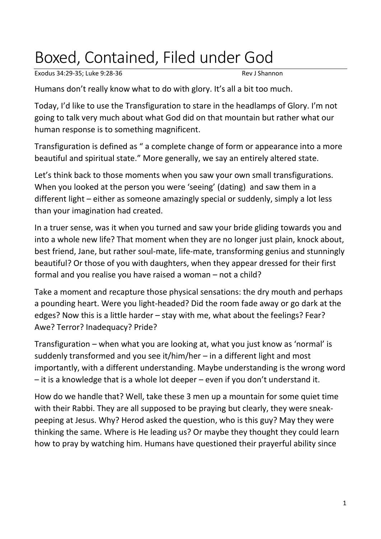## Boxed, Contained, Filed under God

Exodus 34:29-35; Luke 9:28-36 Rev J Shannon

Humans don't really know what to do with glory. It's all a bit too much.

Today, I'd like to use the Transfiguration to stare in the headlamps of Glory. I'm not going to talk very much about what God did on that mountain but rather what our human response is to something magnificent.

Transfiguration is defined as " a complete change of form or appearance into a more beautiful and spiritual state." More generally, we say an entirely altered state.

Let's think back to those moments when you saw your own small transfigurations. When you looked at the person you were 'seeing' (dating) and saw them in a different light – either as someone amazingly special or suddenly, simply a lot less than your imagination had created.

In a truer sense, was it when you turned and saw your bride gliding towards you and into a whole new life? That moment when they are no longer just plain, knock about, best friend, Jane, but rather soul-mate, life-mate, transforming genius and stunningly beautiful? Or those of you with daughters, when they appear dressed for their first formal and you realise you have raised a woman – not a child?

Take a moment and recapture those physical sensations: the dry mouth and perhaps a pounding heart. Were you light-headed? Did the room fade away or go dark at the edges? Now this is a little harder – stay with me, what about the feelings? Fear? Awe? Terror? Inadequacy? Pride?

Transfiguration – when what you are looking at, what you just know as 'normal' is suddenly transformed and you see it/him/her – in a different light and most importantly, with a different understanding. Maybe understanding is the wrong word – it is a knowledge that is a whole lot deeper – even if you don't understand it.

How do we handle that? Well, take these 3 men up a mountain for some quiet time with their Rabbi. They are all supposed to be praying but clearly, they were sneakpeeping at Jesus. Why? Herod asked the question, who is this guy? May they were thinking the same. Where is He leading us? Or maybe they thought they could learn how to pray by watching him. Humans have questioned their prayerful ability since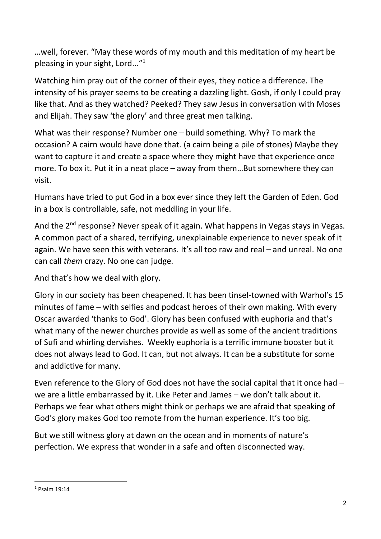…well, forever. "May these words of my mouth and this meditation of my heart be pleasing in your sight, Lord..."<sup>1</sup>

Watching him pray out of the corner of their eyes, they notice a difference. The intensity of his prayer seems to be creating a dazzling light. Gosh, if only I could pray like that. And as they watched? Peeked? They saw Jesus in conversation with Moses and Elijah. They saw 'the glory' and three great men talking.

What was their response? Number one – build something. Why? To mark the occasion? A cairn would have done that. (a cairn being a pile of stones) Maybe they want to capture it and create a space where they might have that experience once more. To box it. Put it in a neat place – away from them…But somewhere they can visit.

Humans have tried to put God in a box ever since they left the Garden of Eden. God in a box is controllable, safe, not meddling in your life.

And the 2<sup>nd</sup> response? Never speak of it again. What happens in Vegas stays in Vegas. A common pact of a shared, terrifying, unexplainable experience to never speak of it again. We have seen this with veterans. It's all too raw and real – and unreal. No one can call *them* crazy. No one can judge.

And that's how we deal with glory.

Glory in our society has been cheapened. It has been tinsel-towned with Warhol's 15 minutes of fame – with selfies and podcast heroes of their own making. With every Oscar awarded 'thanks to God'. Glory has been confused with euphoria and that's what many of the newer churches provide as well as some of the ancient traditions of Sufi and whirling dervishes. Weekly euphoria is a terrific immune booster but it does not always lead to God. It can, but not always. It can be a substitute for some and addictive for many.

Even reference to the Glory of God does not have the social capital that it once had – we are a little embarrassed by it. Like Peter and James – we don't talk about it. Perhaps we fear what others might think or perhaps we are afraid that speaking of God's glory makes God too remote from the human experience. It's too big.

But we still witness glory at dawn on the ocean and in moments of nature's perfection. We express that wonder in a safe and often disconnected way.

<sup>1</sup> Psalm 19:14